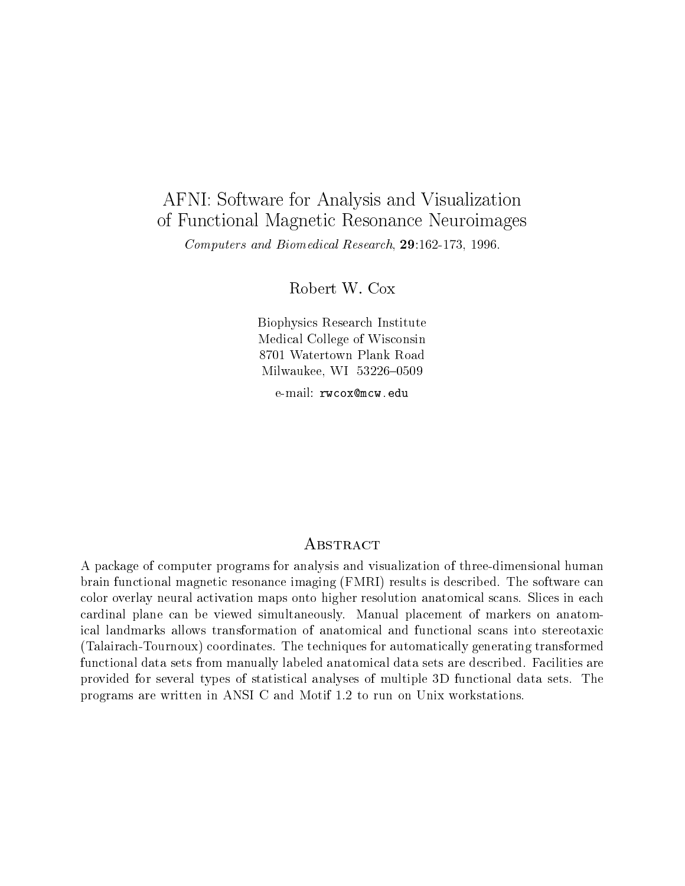# AFNI: Software for Analysis and Visualization of Functional Magnetic Resonance Neuroimages

Computers and Biometers and Biometers and Biometers and Biometers and Biometers and Biometers and Biometers and

Robert W. Cox

Biophysics Research Institute Medical College of Wisconsin Milwaukee, WI 53226-0509

e-mail: rwcox@mcw.edu

#### **ABSTRACT**

A package of computer programs for analysis and visualization of three-dimensional human brain functional magnetic resonance imaging (FMRI) results is described. The software can color overlay neural activation maps onto higher resolution anatomical scans. Slices in each cardinal plane can be viewed simultaneously. Manual placement of markers on anatomical landmarks allows transformation of anatomical and functional scans into stereotaxic (Talairach-Tournoux) coordinates. The techniques for automatically generating transformed functional data sets from manually labeled anatomical data sets are described. Facilities are provided for several types of statistical analyses of multiple D functional data sets The programs are written in ANSI C and Motif - written in ANSI C and Motif - written in ANSI C and Motif - written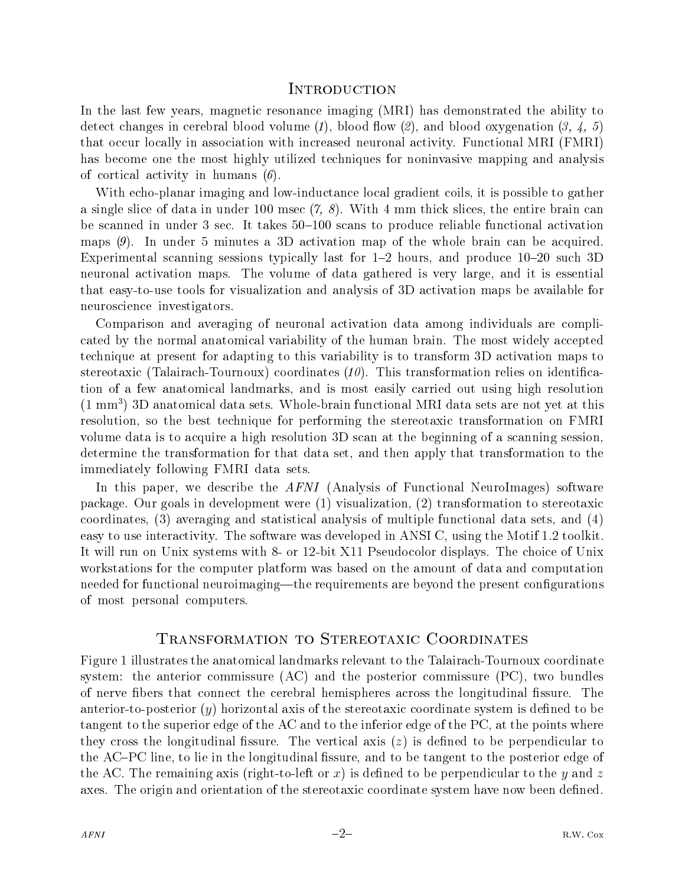#### **INTRODUCTION**

In the last few years, magnetic resonance imaging (MRI) has demonstrated the ability to detect changes in cerebral blood volume blood ow and blood oxygenation that occur locally in association with increased neuronal activity. Functional MRI (FMRI) has become one the most highly utilized techniques for noninvasive mapping and analysis of cortical activity in humans  $(6)$ .

With echo-planar imaging and low-inductance local gradient coils, it is possible to gather a single since of data in under - matrix  $\{11, \, \varphi\}$  , the entire brain can can can can can can can be scanned in under sec It takes 
- scans to produce reliable functional activation maps  $(9)$ . In under 5 minutes a 3D activation map of the whole brain can be acquired. Experimental scanning sessions typically last for - hours and produce - such D neuronal activation maps. The volume of data gathered is very large, and it is essential that easy-to-use tools for visualization and analysis of 3D activation maps be available for neuroscience investigators 

Comparison and averaging of neuronal activation data among individuals are compli cated by the normal anatomical variability of the human brain. The most widely accepted technique at present for adapting to this variability is to transform 3D activation maps to stereotaxic TalairachTournoux coordinates This transformation relies on identica tion of a few anatomical landmarks and is most easily carried out using high resolution (1 mm ) od anatomical data sets. w nole-brain functional MRI data sets are not yet at this resolution so the best technique for performing the stereotaxic transformation on FMRI volume data is to acquire a high resolution 3D scan at the beginning of a scanning session. determine the transformation for that data set, and then apply that transformation to the immediately following FMRI data sets 

In this paper, we describe the  $AFNI$  (Analysis of Functional NeuroImages) software package Our goals in development were - visualization transformation to stereotaxic coordinates,  $(3)$  averaging and statistical analysis of multiple functional data sets, and  $(4)$ easy to use interactivity The software was developed in ANSI C using the Motif - toolkit - will run on Unix systems with U Unix statement with the choice of the choice of the choice of the choice of workstations for the computer platform was based on the amount of data and computation needed for functional neuroimaging—the requirements are beyond the present configurations of most personal computers 

#### Transformation to Stereotaxic Coordinates

Figure - illustrates the anatomical landmarks relevant to the  $T$ system: the anterior commissure  $(AC)$  and the posterior commissure  $(PC)$ , two bundles of nerve fibers that connect the cerebral hemispheres across the longitudinal fissure. The anterior-to-posterior  $(y)$  horizontal axis of the stereotaxic coordinate system is defined to be tangent to the superior edge of the AC and to the inferior edge of the PC, at the points where they cross the longitudinal fissure. The vertical axis  $(z)$  is defined to be perpendicular to the AC–PC line, to lie in the longitudinal fissure, and to be tangent to the posterior edge of the AC. The remaining axis (right-to-left or x) is defined to be perpendicular to the y and z axes. The origin and orientation of the stereotaxic coordinate system have now been defined.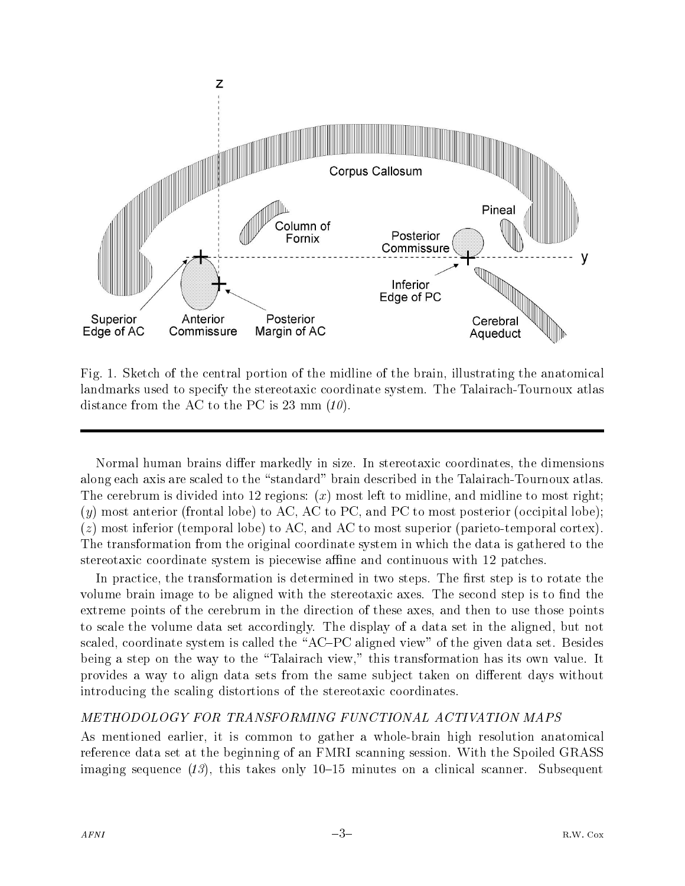

Fig. - Sketch of the central portion of the middline of the middline of the brain illustration in  $\mathbb{R}^n$ landmarks used to specify the stereotaxic coordinate system. The Talairach-Tournoux atlas distance from the AC to the PC is  $\mathcal{A}$  to the PC is  $\mathcal{A}$  to the PC is  $\mathcal{A}$ 

Normal human brains differ markedly in size. In stereotaxic coordinates, the dimensions along each axis are scaled to the "standard" brain described in the Talairach-Tournoux atlas. The cerebrum is divided into - regions you middline to middline to most righting to most righting  $(y)$  most anterior (frontal lobe) to AC, AC to PC, and PC to most posterior (occipital lobe);  $(z)$  most inferior (temporal lobe) to AC, and AC to most superior (parieto-temporal cortex). The transformation from the original coordinate system in which the data is gathered to the stereotaxic coordinate system is piecewise ane and continuous with - patches 

In practice, the transformation is determined in two steps. The first step is to rotate the volume brain image to be aligned with the stereotaxic axes. The second step is to find the extreme points of the cerebrum in the direction of these axes, and then to use those points to scale the volume data set accordingly. The display of a data set in the aligned, but not scaled, coordinate system is called the "AC-PC aligned view" of the given data set. Besides being a step on the way to the "Talairach view," this transformation has its own value. It provides a way to align data sets from the same subject taken on different days without introducing the scaling distortions of the stereotaxic coordinates 

#### METHODOLOGY FOR TRANSFORMING FUNCTIONAL ACTIVATION MAPS

As mentioned earlier, it is common to gather a whole-brain high resolution anatomical reference data set at the beginning of an FMRI scanning session. With the Spoiled GRASS imaging sequence in it come channel and a clinical scanner on a commence scanner we who quoted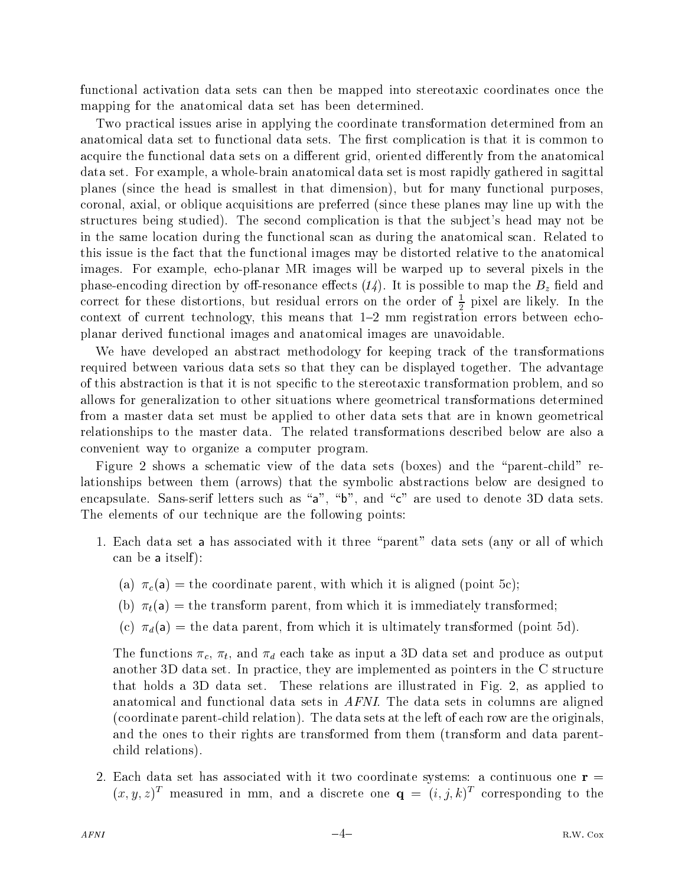functional activation data sets can then be mapped into stereotaxic coordinates once the mapping for the anatomical data set has been determined 

Two practical issues arise in applying the coordinate transformation determined from an anatomical data set to functional data sets. The first complication is that it is common to acquire the functional data sets on a different grid, oriented differently from the anatomical data set. For example, a whole-brain anatomical data set is most rapidly gathered in sagittal planes (since the head is smallest in that dimension), but for many functional purposes, coronal, axial, or oblique acquisitions are preferred (since these planes may line up with the structures being studied). The second complication is that the subject's head may not be in the same location during the functional scan as during the anatomical scan. Related to this issue is the fact that the functional images may be distorted relative to the anatomical images. For example, echo-planar MR images will be warped up to several pixels in the phase-encoding direction by off-resonance effects  $(14)$ . It is possible to map the  $B<sub>z</sub>$  field and correct for these distortions, but residual errors on the order of  $\frac{1}{2}$  pixel are likely. In the  $\mathbf{r}$ planar derived functional images and anatomical images are unavoidable 

We have developed an abstract methodology for keeping track of the transformations required between various data sets so that they can be displayed together. The advantage of this abstraction is that it is not specific to the stereotaxic transformation problem, and so allows for generalization to other situations where geometrical transformations determined from <sup>a</sup> master data set must be applied to other data sets that are in known geometrical relationships to the master data. The related transformations described below are also a convenient way to organize a computer program 

Figure 2 shows a schematic view of the data sets (boxes) and the "parent-child" relationships between them (arrows) that the symbolic abstractions below are designed to encapsulate. Sans-serif letters such as "a", "b", and "c" are used to denote 3D data sets. The elements of our technique are the following points:

- - Each data set <sup>a</sup> has associated with it three parent data sets any or all of which can be <sup>a</sup> itself
	- (a)  $\pi_c(\mathsf{a}) = \text{the coordinate parent}, \text{with which it is aligned (point 5c)};$
	- (b)  $\pi_t(\mathsf{a}) = \text{the transform parent, from which it is immediately transformed};$
	- (c)  $\pi_d$ (a) = the data parent, from which it is ultimately transformed (point 5d).

The functions  $\pi_c$ ,  $\pi_t$ , and  $\pi_d$  each take as input a 3D data set and produce as output another 3D data set. In practice, they are implemented as pointers in the C structure that holds a 3D data set. These relations are illustrated in Fig. 2, as applied to anatomical and functional data sets in  $AFNI$ . The data sets in columns are aligned (coordinate parent-child relation). The data sets at the left of each row are the originals, and the ones to their rights are transformed from them (transform and data parentchild relations 

2. Each data set has associated with it two coordinate systems: a continuous one  $r =$  $(x, y, z)^T$  measured in mm, and a discrete one  $\mathbf{q} = (i, j, k)^T$  corresponding to the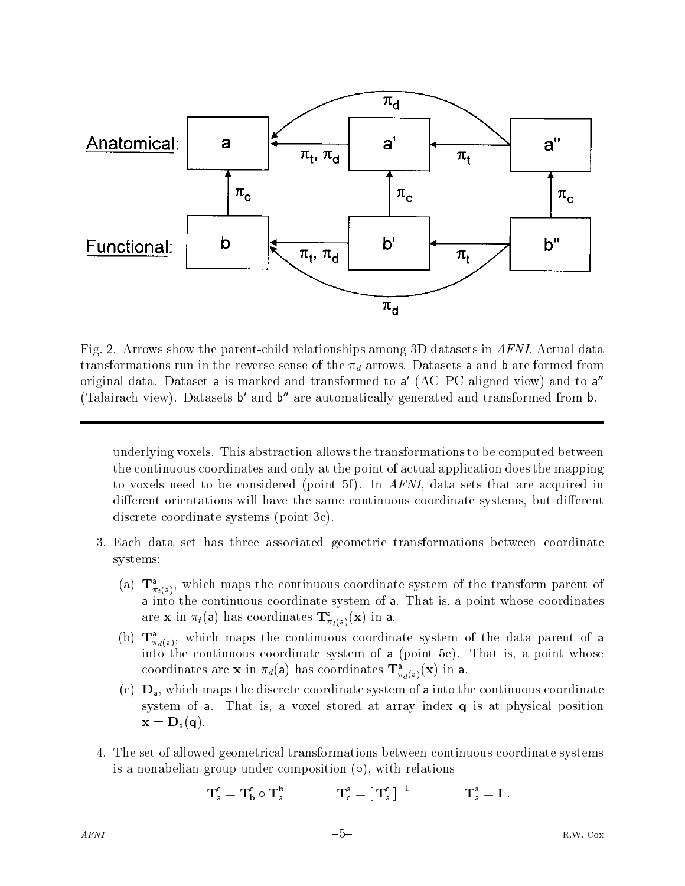

Fig. 2. Arrows show the parent-child relationships among 3D datasets in  $AFNI$ . Actual data transformations run in the reverse sense of the  $\pi_d$  arrows. Datasets a and b are formed from original data. Dataset **a** is marked and transformed to **a**  $\overline{\mathrm{AUC}}$  C aligned view) and to **a** (Talairach view). Datasets  $\mathbf{b}'$  and  $\mathbf{b}''$  are automatically generated and transformed from  $\mathbf{b}$ .

underlying voxels. This abstraction allows the transformations to be computed between the continuous coordinates and only at the point of actual application does the mapping to voxels need to be considered (point 5f). In  $AFNI$ , data sets that are acquired in different orientations will have the same continuous coordinate systems, but different discrete coordinate systems (point  $3c$ ).

- Each data set has three associated geometric transformations between coordinate systems
	- (a)  ${\bf T}^{\pm}_{\pi_t({\bf a})},$  which maps the continuous coordinate system of the transform parent of a into the continuous coordinate system of a. That is, a point whose coordinates are **x** in  $\pi_t(\mathsf{a})$  has coordinates  $\mathbf{T}^{\mathsf{a}}_{\pi_t(\mathsf{a})}(\mathbf{x})$  in  $\mathsf{a}$ .
	- (b)  $\mathbf{I}_{\pi_d(\mathsf{a})}$ , which maps the continuous coordinate system of the data parent of  $\mathsf{a}$ into the continuous coordinate system of a (point  $5e$ ). That is, a point whose coordinates are **x** in  $\pi_d$ (a) has coordinates  $\mathbf{T}^a_{\pi_d(a)}(\mathbf{x})$  in a.
	- (c)  $D_a$ , which maps the discrete coordinate system of a into the continuous coordinate system of  $a$ . That is, a voxel stored at array index  $q$  is at physical position  $\mathbf{x} = \mathbf{D}_a(\mathbf{q}).$
- The set of allowed geometrical transformations between continuous coordinate systems is a nonabelian group under composition  $\circ$ , with relations

$$
\mathbf{T}^{\mathsf{c}}_{\mathsf{a}} = \mathbf{T}^{\mathsf{c}}_{\mathsf{b}} \circ \mathbf{T}^{\mathsf{b}}_{\mathsf{a}} \hspace{10mm} \mathbf{T}^{\mathsf{a}}_{\mathsf{c}} = \left[\, \mathbf{T}^{\mathsf{c}}_{\mathsf{a}}\, \right]^{-1} \hspace{10mm} \mathbf{T}^{\mathsf{a}}_{\mathsf{a}} = \mathbf{I} \; .
$$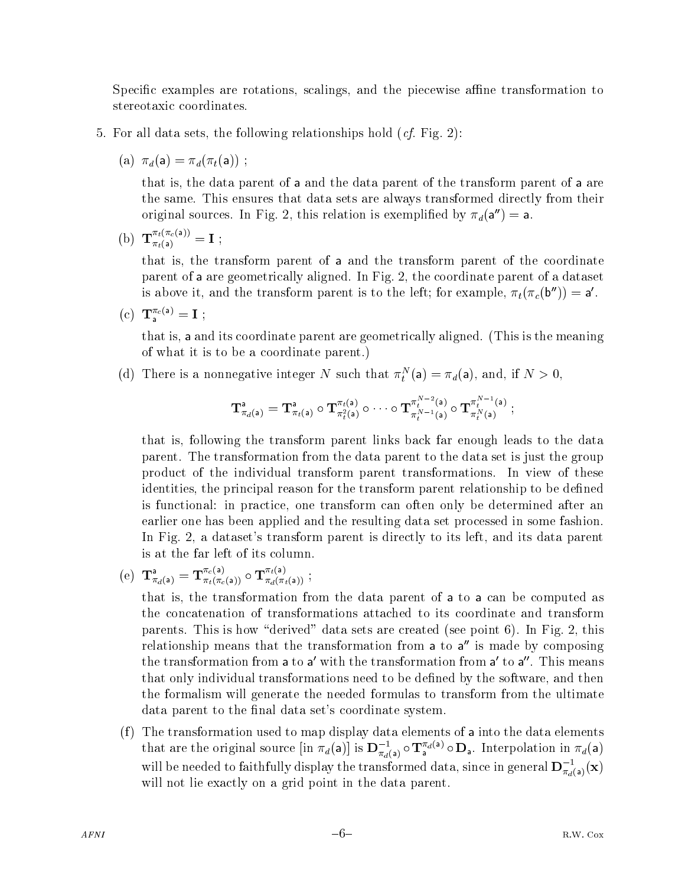Specific examples are rotations, scalings, and the piecewise affine transformation to stereotaxic coordinates 

- 5. For all data sets, the following relationships hold  $(cf. Fig. 2)$ :
	- (a)  $\pi_d(a) = \pi_d(\pi_t(a))$ ;

that is the data parent of <sup>a</sup> and the data parent of the transform parent of <sup>a</sup> are the same. This ensures that data sets are always transformed directly from their original sources. In Fig. 2, this relation is exemplified by  $\pi_d(\mathsf{a}) = \mathsf{a}$ .

$$
( \mathrm{b} ) \ \ \mathbf{T}_{\pi_t(\mathsf{a})}^{\pi_t(\pi_c(\mathsf{a}))} = \mathbf{I} \ ;
$$

that is the transform parent of <sup>a</sup> and the transform parent of the coordinate parent of a are geometrically aligned. In Fig. 2, the coordinate parent of a dataset is above it, and the transform parent is to the left; for example,  $\pi_t(\pi_c(\mathbf{d} \mid t) = \mathbf{d}$ .

(c)  $T_a$ <sup>c</sup> $\vee$  = 1;

that is, a and its coordinate parent are geometrically aligned. (This is the meaning of what it is to be a coordinate parent 

(d) There is a nonnegative integer *iv* such that  $\pi_t^{\alpha}$  (d)  $\equiv \pi_d(d)$ , and, if  $N > 0$ ,

$$
\mathbf{T}_{\pi_d(\mathsf{a})}^\mathsf{a} = \mathbf{T}_{\pi_t(\mathsf{a})}^\mathsf{a} \circ \mathbf{T}_{\pi_t^2(\mathsf{a})}^{\pi_t(\mathsf{a})} \circ \cdots \circ \mathbf{T}_{\pi_t^{N-1}(\mathsf{a})}^{\pi_t^{N-2}(\mathsf{a})} \circ \mathbf{T}_{\pi_t^N(\mathsf{a})}^{\pi_t^{N-1}(\mathsf{a})} \ ;
$$

that is following the transform parent links back far enough leads to the data parent. The transformation from the data parent to the data set is just the group product of the individual transform parent transformations. In view of these identities, the principal reason for the transform parent relationship to be defined is functional: in practice, one transform can often only be determined after an earlier one has been applied and the resulting data set processed in some fashion In Fig. 2, a dataset's transform parent is directly to its left, and its data parent is at the far left of its column 

 $\textnormal{(e)}\ \ \mathbf{T}_{\pi_d(\mathsf{a})}^\mathsf{a} = \mathbf{T}_{\pi_t(\pi_c(\mathsf{a}))}^{\pi_c(\mathsf{a})} \circ \mathbf{T}_{\pi_d(\pi_t(\mathsf{a}))}^{\pi_t(\mathsf{a})} \ ;$ 

that is the transformation from the data parent of <sup>a</sup> to <sup>a</sup> can be computed as the concatenation of transformations attached to its coordinate and transform parents. This is how "derived" data sets are created (see point  $6$ ). In Fig. 2, this relationship means that the transformation from <sup>a</sup> to <sup>a</sup> is made by composing the transformation from a to a with the transformation from a to a . This means that only individual transformations need to be defined by the software, and then the formalism will generate the needed formulas to transform from the ultimate data parent to the final data set's coordinate system.

 $(f)$  The transformation used to map display data elements of a into the data elements that are the original source  $[\ln \pi_d(a)]$  is  ${\bf D}_{\pi_d(a)} \circ {\bf T}_a^{(a)} \circ {\bf D}_a$ . Interpolation in  $\pi_d(a)$ will be needed to faithfully display the transformed data, since in general  ${\bf D}_{\pi_d({\bf a})}({\bf x})$ will not lie exactly on a grid point in the data parent.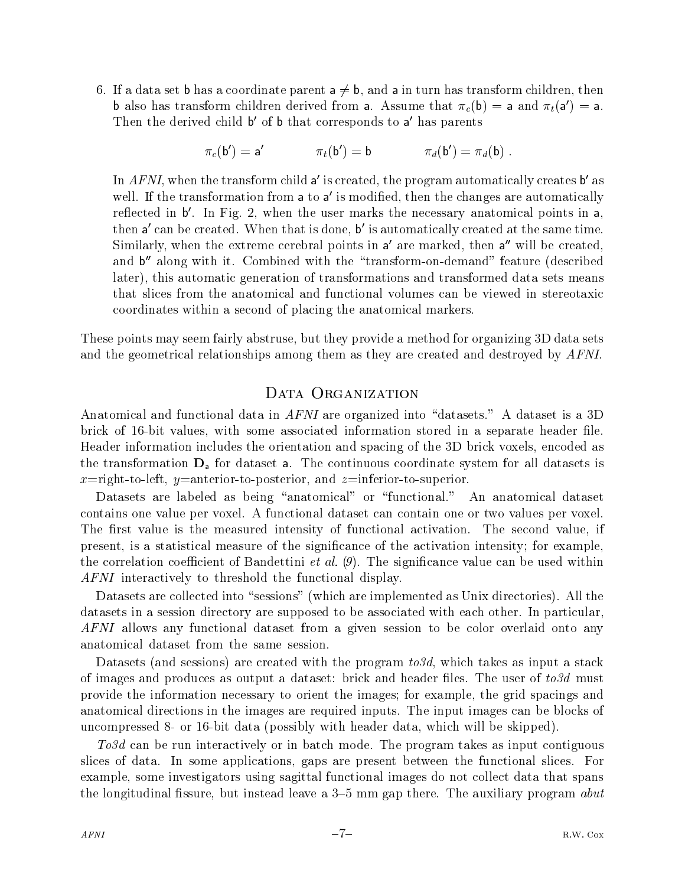If a data set b and a coordinate parent a  $\mu$  in turn a coordinate the coordinate  $\mu$  in turn  $\mu$ **d** also has transform children derived from **a**. Assume that  $\pi_c(\mathsf{d}) = \mathsf{a}$  and  $\pi_t(\mathsf{d}) = \mathsf{a}$ . Then the derived child b of <sup>b</sup> that corresponds to <sup>a</sup> has parents

$$
\pi_c(\mathsf{b}') = \mathsf{a}' \qquad \qquad \pi_t(\mathsf{b}') = \mathsf{b} \qquad \qquad \pi_d(\mathsf{b}') = \pi_d(\mathsf{b}) \ .
$$

In  $ATN$ I, when the transform child a is created, the program automatically creates  ${\tt D}$  as well. It the transformation from  $a$  to  $a$  is modified, then the changes are automatically  $\,$ reflected in  $b'$ . In Fig. 2, when the user marks the necessary anatomical points in  $a$ ,  $\,$  unen a  $\,$  can be created. Ty hen that is done,  $\,$  b is automatically created at the same time. Similarly, when the extreme cerebral points in a lare marked, then a will be created. and b'' along with it. Combined with the "transform-on-demand" feature (described later), this automatic generation of transformations and transformed data sets means that slices from the anatomical and functional volumes can be viewed in stereotaxic coordinates within a second of placing the anatomical markers 

These points may seem fairly abstruse, but they provide a method for organizing 3D data sets and the geometrical relationships among them as they are created and destroyed by  $AFNI$ .

#### DATA ORGANIZATION

Anatomical and functional data in  $AFNI$  are organized into "datasets." A dataset is a 3D brick of -bit values with some associated information stored in a separate header le Header information includes the orientation and spacing of the 3D brick voxels, encoded as the transformation  $D_a$  for dataset a. The continuous coordinate system for all datasets is x=right-to-left, y=anterior-to-posterior, and z=inferior-to-superior.

Datasets are labeled as being "anatomical" or "functional." An anatomical dataset contains one value per voxel A functional dataset can contain one or two values per voxel The first value is the measured intensity of functional activation. The second value, if present, is a statistical measure of the significance of the activation intensity; for example, the correlation coefficient of Bandettini *et al.*  $(9)$ . The significance value can be used within AFNI interactively to threshold the functional display.

Datasets are collected into "sessions" (which are implemented as Unix directories). All the datasets in a session directory are supposed to be associated with each other. In particular AFNI allows any functional dataset from a given session to be color overlaid onto any anatomical dataset from the same session 

Datasets and sessions are created with the program to-d which takes as input a stack of images and produces as output a dataset brick and header les The user of to-d must provide the information necessary to orient the images; for example, the grid spacings and anatomical directions in the images are required inputs. The input images can be blocks of uncompressed or -bit data possibly with header data which will be skipped 

 $\mathbf{u} = \mathbf{u}$ slices of data. In some applications, gaps are present between the functional slices. For example, some investigators using sagittal functional images do not collect data that spans the longitudinal fissure, but instead leave a  $3-5$  mm gap there. The auxiliary program  $abut$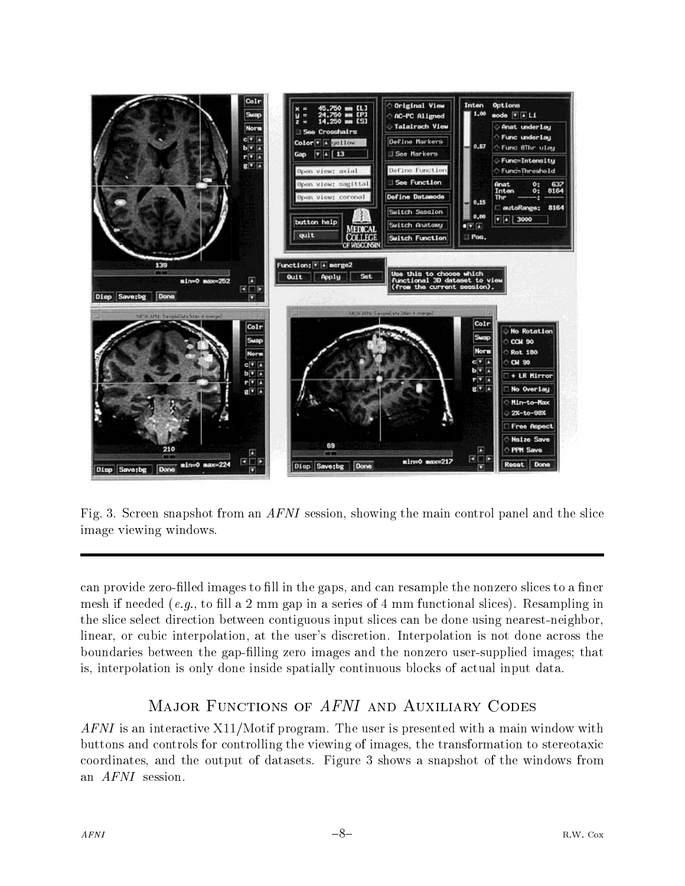



can provide zero-filled images to fill in the gaps, and can resample the nonzero slices to a finer mesh if needed (e.g., to fill a 2 mm gap in a series of 4 mm functional slices). Resampling in the slice select direction between contiguous input slices can be done using nearest-neighbor, linear, or cubic interpolation, at the user's discretion. Interpolation is not done across the boundaries between the gap-filling zero images and the nonzero user-supplied images; that is, interpolation is only done inside spatially continuous blocks of actual input data.

# MAJOR FUNCTIONS OF AFNI AND AUXILIARY CODES

AFNI is an interactive X--Motif program The user is presented with a main window with buttons and controls for controlling the viewing of images, the transformation to stereotaxic coordinates, and the output of datasets. Figure 3 shows a snapshot of the windows from an *AFNI* session.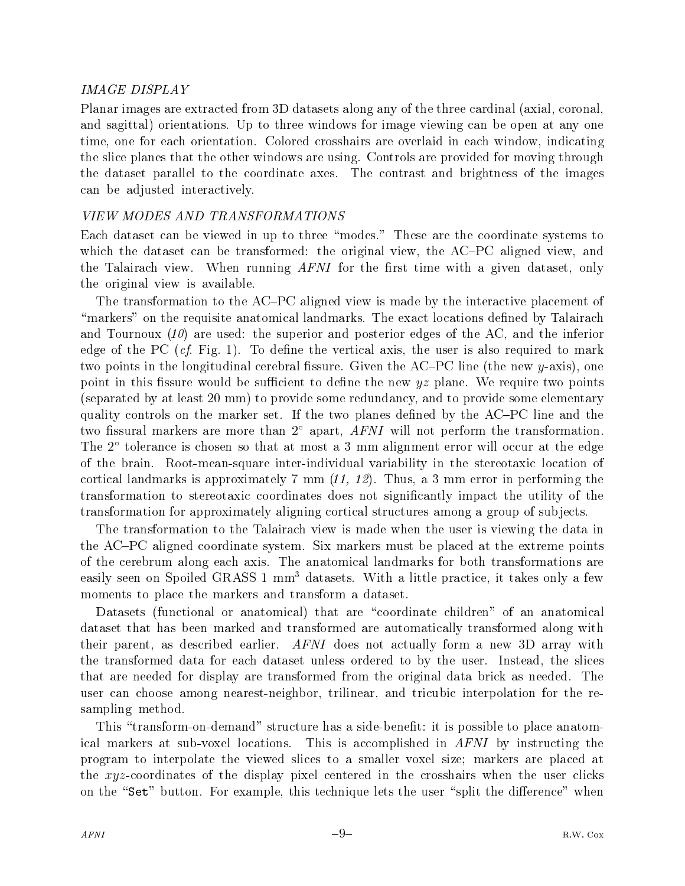#### IMAGE DISPLAY

Planar images are extracted from 3D datasets along any of the three cardinal (axial, coronal and sagittal) orientations. Up to three windows for image viewing can be open at any one time, one for each orientation. Colored crosshairs are overlaid in each window, indicating the slice planes that the other windows are using. Controls are provided for moving through the dataset parallel to the coordinate axes The contrast and brightness of the images can be adjusted interactively 

#### VIEW MODES AND TRANSFORMATIONS

Each dataset can be viewed in up to three "modes." These are the coordinate systems to which the dataset can be transformed: the original view, the  $AC-PC$  aligned view, and the Talairach view. When running  $AFNI$  for the first time with a given dataset, only the original view is available 

The transformation to the AC
PC aligned view is made by the interactive placement of "markers" on the requisite anatomical landmarks. The exact locations defined by Talairach and Tournous (Toyan and the superior and posterior posterior and the inferior edges of the inferior of the inf edge of the PC cf Fig - To dene the vertical axis the user is also required to mark two points in the longitudinal cerebral fissure. Given the AC–PC line (the new y-axis), one point in this fissure would be sufficient to define the new  $yz$  plane. We require two points (separated by at least  $20 \text{ mm}$ ) to provide some redundancy, and to provide some elementary quality controls on the marker set. If the two planes defined by the AC–PC line and the two iissural markers are more than  $Z$  apart,  $A\,I\,N\,I$  will not perform the transformation. The - tolerance is chosen so that at most <sup>a</sup> mm alignment error will occur at the edge of the brain. Root-mean-square inter-individual variability in the stereotaxic location of cortical landmarks is approximately 7 mm  $(11, 12)$ . Thus, a 3 mm error in performing the transformation to stereotaxic coordinates does not signicantly impact the utility of the transformation for approximately aligning cortical structures among a group of subjects.

The transformation to the Talairach view is made when the user is viewing the data in the AC–PC aligned coordinate system. Six markers must be placed at the extreme points of the cerebrum along each axis. The anatomical landmarks for both transformations are easily seen on Spoiled GRASS I mm datasets. With a little practice, it takes only a few moments to place the markers and transform a dataset 

Datasets (functional or anatomical) that are "coordinate children" of an anatomical dataset that has been marked and transformed are automatically transformed along with their parent, as described earlier.  $AFNI$  does not actually form a new 3D array with the transformed data for each dataset unless ordered to by the user. Instead, the slices that are needed for display are transformed from the original data brick as needed. The user can choose among nearest-neighbor, trilinear, and tricubic interpolation for the resampling method 

This "transform-on-demand" structure has a side-benefit: it is possible to place anatomical markers at sub-voxel locations. This is accomplished in  $AFNI$  by instructing the program to interpolate the viewed slices to a smaller voxel size; markers are placed at the  $xyz$ -coordinates of the display pixel centered in the crosshairs when the user clicks on the "Set" button. For example, this technique lets the user "split the difference" when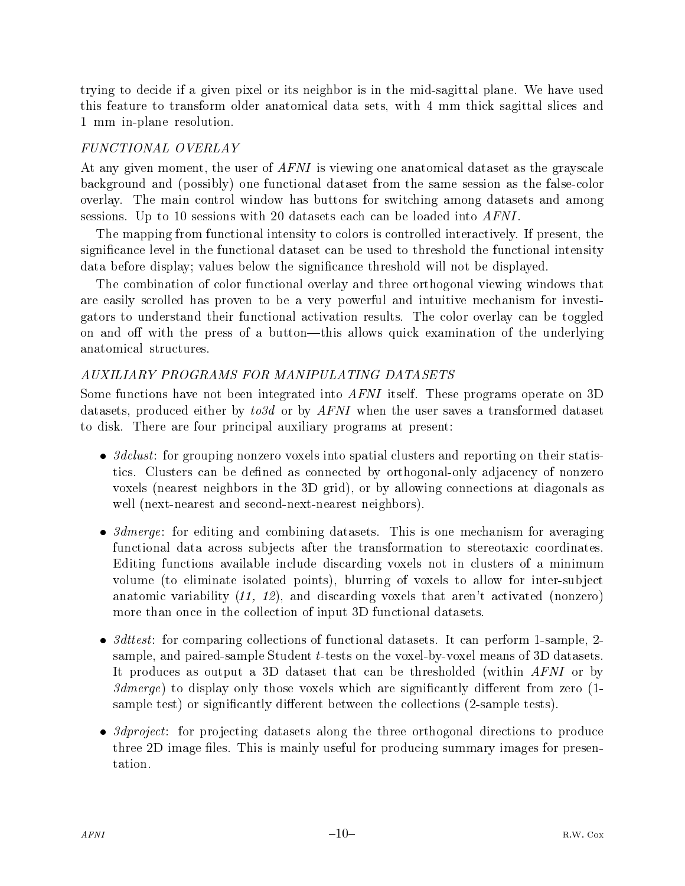trying to decide if a given pixel or its neighbor is in the mid-sagittal plane. We have used this feature to transform older anatomical data sets, with 4 mm thick sagittal slices and - ------ --- process --------------

## FUNCTIONAL OVERLAY

At any given moment, the user of  $AFNI$  is viewing one anatomical dataset as the grayscale background and (possibly) one functional dataset from the same session as the false-color overlay. The main control window has buttons for switching among datasets and among sessions Up to - sessions with datasets each can be loaded into AFNI 

The mapping from functional intensity to colors is controlled interactively. If present, the signicance level in the functional dataset can be used to threshold the functional intensity data before display; values below the significance threshold will not be displayed.

The combination of color functional overlay and three orthogonal viewing windows that are easily scrolled has proven to be a very powerful and intuitive mechanism for investi gators to understand their functional activation results The color overlay can be toggled on and off with the press of a button—this allows quick examination of the underlying anatomical structures 

# AUXILIARY PROGRAMS FOR MANIPULATING DATASETS

Some functions have not been integrated into  $AFNI$  itself. These programs operate on 3D datasets produced either by to-dimensional produced the user saves and the user saves a transformed datasets o to disk. There are four principal auxiliary programs at present:

- -dclust for grouping nonzero voxels into spatial clusters and reporting on their statis tics. Clusters can be defined as connected by orthogonal-only adjacency of nonzero voxels (nearest neighbors in the 3D grid), or by allowing connections at diagonals as well (next-nearest and second-next-nearest neighbors).
- -dmerge for editing and combining datasets This is one mechanism for averaging functional data across subjects after the transformation to stereotaxic coordinates. Editing functions available include discarding voxels not in clusters of a minimum volume (to eliminate isolated points), blurring of voxels to allow for inter-subject anatomic variability  $(11, 12)$ , and discarding voxels that aren't activated (nonzero) more than once in the collection of input 3D functional datasets.
- -detections for comparing collections of functions of functions of functions  $\mu$  performed a collection sample, and paired-sample Student t-tests on the voxel-by-voxel means of  $3D$  datasets. It produces as output a 3D dataset that can be thresholded (within AFNI or by -dmerge to display only those voxels which are signicantly dierent from zero sample test) or significantly different between the collections  $(2\text{-sample tests})$ .
- -dproject for pro jecting datasets along the three orthogonal directions to produce three 2D image files. This is mainly useful for producing summary images for presentation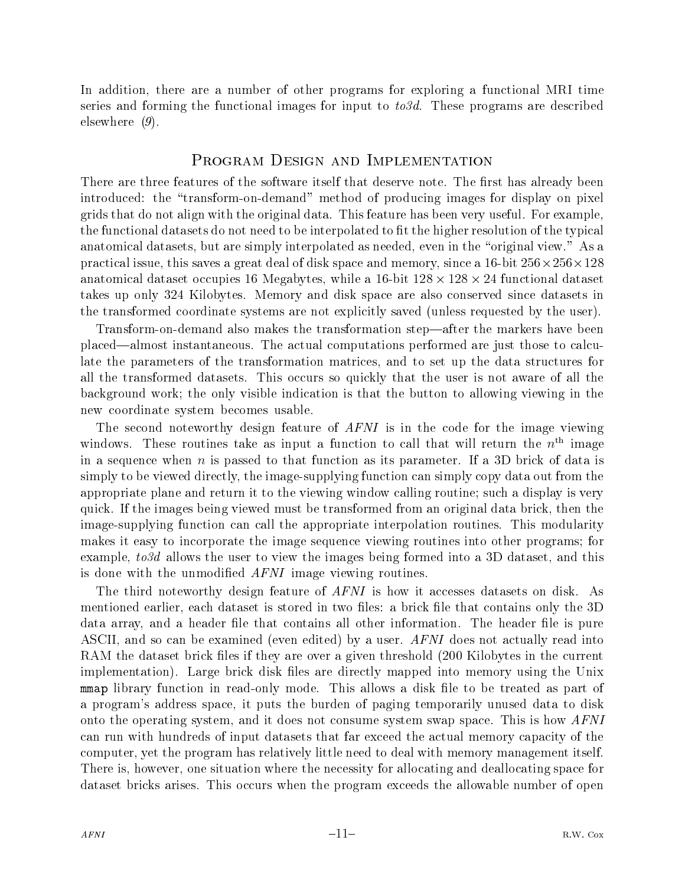In addition, there are a number of other programs for exploring a functional MRI time series and forming the functional images for input to-to-to-described programs are described in elsewhere  $(9)$ .

## PROGRAM DESIGN AND IMPLEMENTATION

There are three features of the software itself that deserve note. The first has already been introduced: the "transform-on-demand" method of producing images for display on pixel grids that do not align with the original data. This feature has been very useful. For example. the functional datasets do not need to be interpolated to fit the higher resolution of the typical anatomical datasets, but are simply interpolated as needed, even in the "original view." As a practical issues and the same of the same states and memory since and memory since a - and memory since a - and anatomical dataset occupies - Megabytes while a -bit - - functional dataset takes up only 324 Kilobytes. Memory and disk space are also conserved since datasets in the transformed coordinate systems are not explicitly saved (unless requested by the user).

Transform-on-demand also makes the transformation step—after the markers have been placed—almost instantaneous. The actual computations performed are just those to calculate the parameters of the transformation matrices, and to set up the data structures for all the transformed datasets. This occurs so quickly that the user is not aware of all the background work; the only visible indication is that the button to allowing viewing in the new coordinate system becomes usable 

The second noteworthy design feature of AFNI is in the code for the image viewing windows. These routines take as input a function to call that will return the  $n<sup>th</sup>$  image in a sequence when  $n$  is passed to that function as its parameter. If a 3D brick of data is simply to be viewed directly, the image-supplying function can simply copy data out from the appropriate plane and return it to the viewing window calling routine; such a display is very quick. If the images being viewed must be transformed from an original data brick, then the image-supplying function can call the appropriate interpolation routines. This modularity makes it easy to incorporate the image sequence viewing routines into other programs; for example to-d allows the user to view the images being formed into a D dataset and this is done with the unmodified  $AFNI$  image viewing routines.

The third noteworthy design feature of  $AFNI$  is how it accesses datasets on disk. As mentioned earlier, each dataset is stored in two files: a brick file that contains only the 3D data array, and a header file that contains all other information. The header file is pure ASCII, and so can be examined (even edited) by a user. AFNI does not actually read into RAM the dataset brick files if they are over a given threshold (200 Kilobytes in the current implementation). Large brick disk files are directly mapped into memory using the Unix mmap library function in read-only mode. This allows a disk file to be treated as part of a program's address space, it puts the burden of paging temporarily unused data to disk onto the operating system and it does not consume system swap space This is how AFNI can run with hundreds of input datasets that far exceed the actual memory capacity of the computer, yet the program has relatively little need to deal with memory management itself. There is, however, one situation where the necessity for allocating and deallocating space for dataset bricks arises. This occurs when the program exceeds the allowable number of open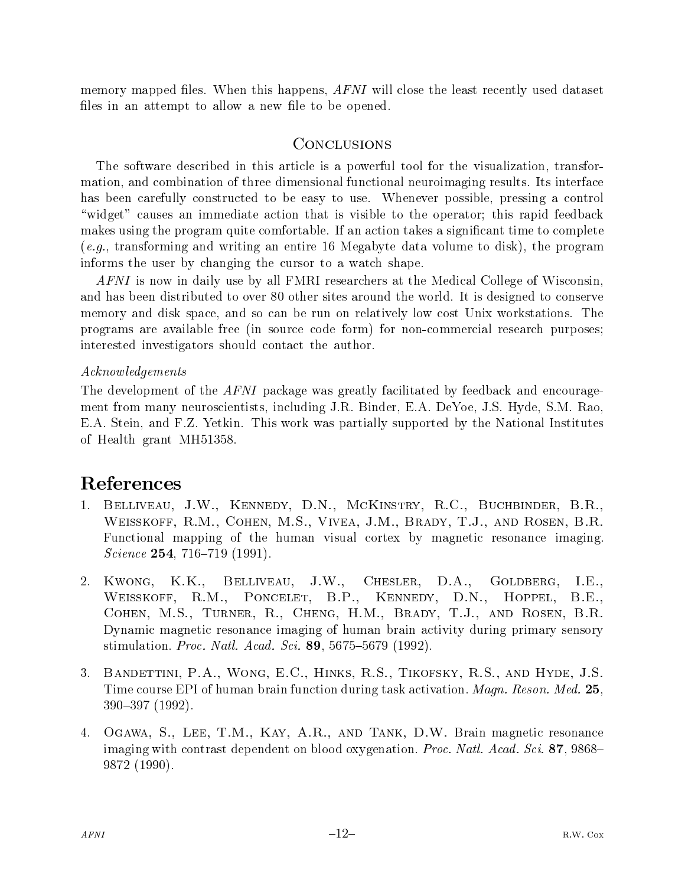memory mapped files. When this happens,  $AFNI$  will close the least recently used dataset files in an attempt to allow a new file to be opened.

# CONCLUSIONS

The software described in this article is a powerful tool for the visualization, transformation, and combination of three dimensional functional neuroimaging results. Its interface has been carefully constructed to be easy to use. Whenever possible, pressing a control "widget" causes an immediate action that is visible to the operator; this rapid feedback makes using the program quite comfortable. If an action takes a significant time to complete eg transforming and writing an entire - Megabyte data volume to disk the program informs the user by changing the cursor to a watch shape 

 $AFNI$  is now in daily use by all FMRI researchers at the Medical College of Wisconsin, and distributed the best distributed to over the over sites and the world. It is designed to conserve the world memory and disk space, and so can be run on relatively low cost Unix workstations. The programs are available free (in source code form) for non-commercial research purposes; interested investigators should contact the author 

#### Acknow ledgements

The development of the AFNI package was greatly facilitated by feedback and encouragement from many neuroscientists, including J.R. Binder, E.A. DeYoe, J.S. Hyde, S.M. Rao, E.A. Stein, and F.Z. Yetkin. This work was partially supported by the National Institutes of Health grant MH  $\sim$  Health grant MH  $\sim$ 

# References

- 1. BELLIVEAU, J.W., KENNEDY, D.N., MCKINSTRY, R.C., BUCHBINDER, B.R., WEISSKOFF, R.M., COHEN, M.S., VIVEA, J.M., BRADY, T.J., AND ROSEN, B.R. Functional mapping of the human visual cortex by magnetic resonance imaging Science - -- --
- 2. KWONG, K.K., BELLIVEAU, J.W., CHESLER, D.A., GOLDBERG, I.E., WEISSKOFF, R.M., PONCELET, B.P., KENNEDY, D.N., HOPPEL, B.E., COHEN, M.S., TURNER, R., CHENG, H.M., BRADY, T.J., AND ROSEN, B.R. Dynamic magnetic resonance imaging of human brain activity during primary sensory stimulation is a straightfully work to be a straightfully and straight and straightfully and straightfully and
- BANDETTINI, P.A., WONG, E.C., HINKS, R.S., TIKOFSKY, R.S., AND HYDE, J.S.  $3.$ Time course EPI of human brain function during task activation. Magn. Reson. Med. 25, -
- 4. OGAWA, S., LEE, T.M., KAY, A.R., AND TANK, D.W. Brain magnetic resonance imaging with contrast dependent on blood oxygenation of  $\mathcal{M}$  . Acade Science  $\mathcal{M}$ -